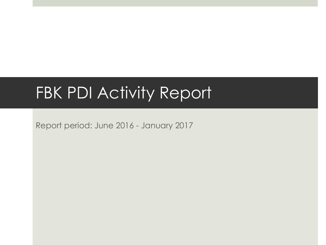#### FBK PDI Activity Report

Report period: June 2016 - January 2017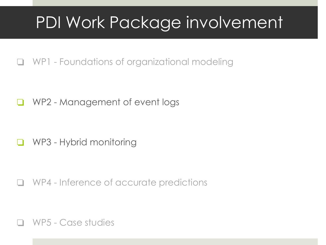## PDI Work Package involvement

❏ WP1 - Foundations of organizational modeling

❏ WP2 - Management of event logs

❏ WP3 - Hybrid monitoring

❏ WP4 - Inference of accurate predictions

❏ WP5 - Case studies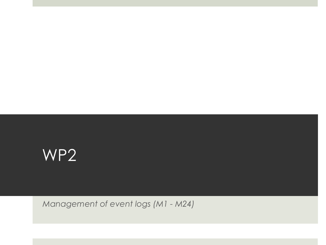

*Management of event logs (M1 - M24)*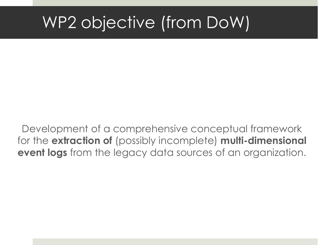# WP2 objective (from DoW)

Development of a comprehensive conceptual framework for the **extraction of** (possibly incomplete) **multi-dimensional event logs** from the legacy data sources of an organization.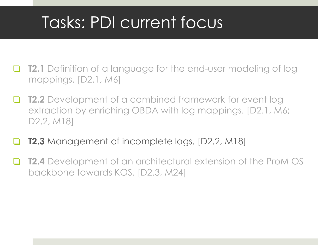# Tasks: PDI current focus

- **T2.1** Definition of a language for the end-user modeling of log mappings. [D2.1, M6]
- **T2.2** Development of a combined framework for event log extraction by enriching OBDA with log mappings. [D2.1, M6; D2.2, M18]
- **T2.3** Management of incomplete logs. [D2.2, M18]
- **T2.4** Development of an architectural extension of the ProM OS backbone towards KOS. [D2.3, M24]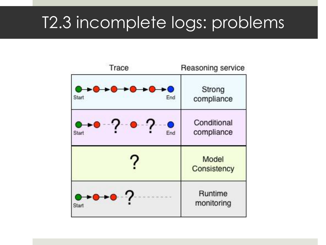### T2.3 incomplete logs: problems

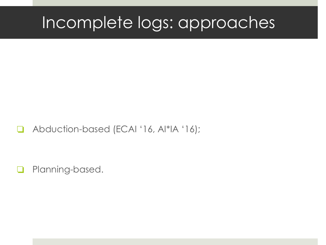## Incomplete logs: approaches

#### ❏ Abduction-based (ECAI '16, AI\*IA '16);

❏ Planning-based.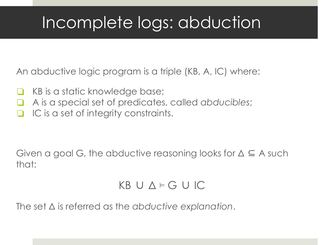# Incomplete logs: abduction

An abductive logic program is a triple (KB, A, IC) where:

- KB is a static knowledge base;
- ❏ A is a special set of predicates, called *abducibles*;
- IC is a set of integrity constraints.

Given a goal G, the abductive reasoning looks for  $\Delta \subseteq A$  such that:

#### KB ∪ Δ ⊨ G ∪ IC

The set Δ is referred as the *abductive explanation*.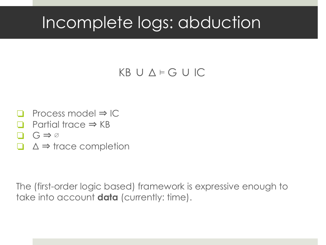# Incomplete logs: abduction

#### KB ∪ Δ ⊨ G ∪ IC

- Process model  $\Rightarrow$  IC
- Partial trace  $\Rightarrow$  KB
- $G \Rightarrow \varnothing$
- $\Delta \Rightarrow$  trace completion

The (first-order logic based) framework is expressive enough to take into account **data** (currently: time).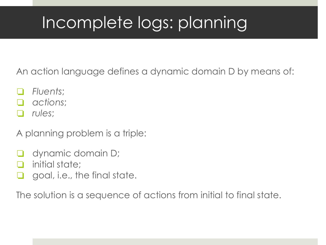# Incomplete logs: planning

An action language defines a dynamic domain D by means of:

- ❏ *Fluents*;
- ❏ *actions*;
- ❏ *rules*;

A planning problem is a triple:

- ❏ dynamic domain D;
- initial state;
- $\Box$  goal, i.e., the final state.

The solution is a sequence of actions from initial to final state.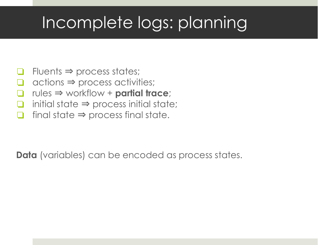# Incomplete logs: planning

- $Fluents \Rightarrow process states;$
- $\alpha$  actions  $\Rightarrow$  process activities;
- ❏ rules ⇒ workflow + **partial trace**;
- initial state  $\Rightarrow$  process initial state;
- ❏ final state ⇒ process final state.

**Data** (variables) can be encoded as process states.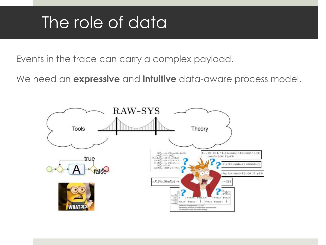# The role of data

Events in the trace can carry a complex payload.

We need an **expressive** and **intuitive** data-aware process model.

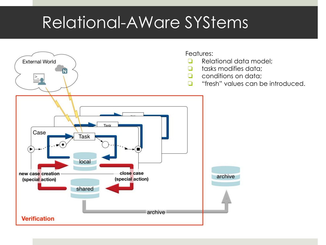## Relational-AWare SYStems

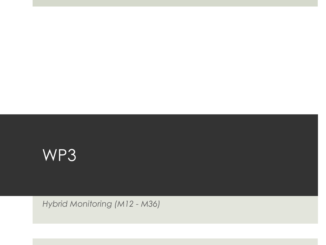

*Hybrid Monitoring (M12 - M36)*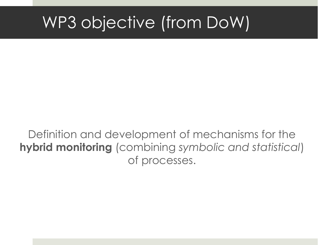# WP3 objective (from DoW)

Definition and development of mechanisms for the **hybrid monitoring** (combining *symbolic and statistical*) of processes.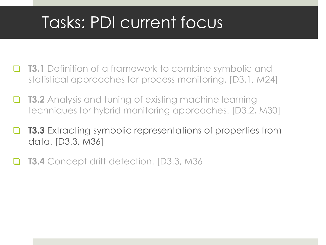# Tasks: PDI current focus

- **T3.1** Definition of a framework to combine symbolic and statistical approaches for process monitoring. [D3.1, M24]
- **T3.2** Analysis and tuning of existing machine learning techniques for hybrid monitoring approaches. [D3.2, M30]
- ❏ **T3.3** Extracting symbolic representations of properties from data. [D3.3, M36]
- **T3.4** Concept drift detection. [D3.3, M36]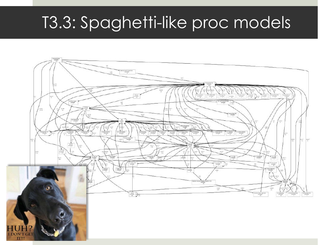### T3.3: Spaghetti-like proc models

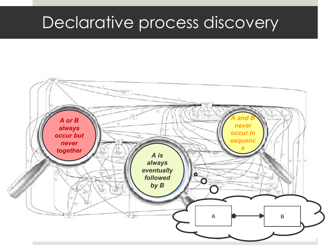#### Declarative process discovery

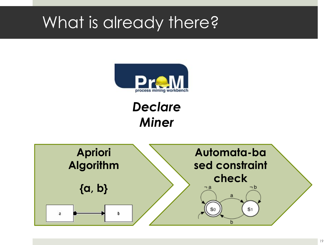# What is already there?



#### *Declare Miner*

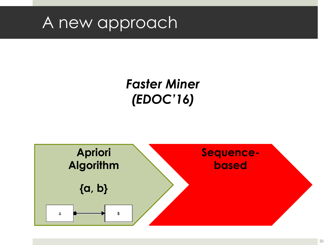#### A new approach

#### *Faster Miner (EDOC'16)*

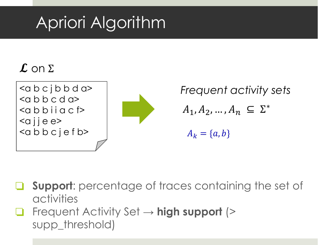# Apriori Algorithm

#### $\boldsymbol{\mathcal{L}}$  on  $\Sigma$



*Frequent activity sets* $A_1, A_2, ..., A_n \subseteq \Sigma^*$  $A_k = \{a, b\}$ 

- ❏ **Support**: percentage of traces containing the set of activities
- ❏ Frequent Activity Set → **high support** (> supp\_threshold)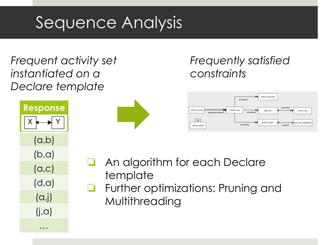# Sequence Analysis

#### *Frequent activity set instantiated on a Declare template*

| <b>Response</b>          |
|--------------------------|
| $\overline{\phantom{a}}$ |
| (a,b)                    |
| (b, a)                   |
| (a, c)                   |
| (d,a)                    |
| $(\alpha,j)$             |
| $(j, \alpha)$            |
|                          |

 $\cdot \cdot \cdot$ 



#### *Frequently satisfied constraints*



- An algorithm for each Declare template
- ❏ Further optimizations: Pruning and Multithreading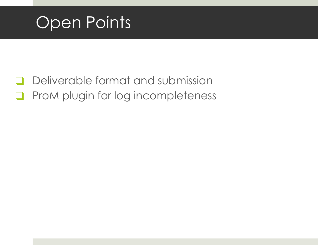

- ❏ Deliverable format and submission
- ❏ ProM plugin for log incompleteness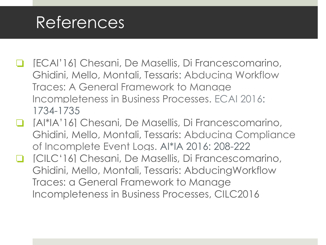#### References

- ❏ [ECAI'16] Chesani, De Masellis, Di Francescomarino, Ghidini, Mello, Montali, Tessaris: Abducing Workflow Traces: A General Framework to Manage Incompleteness in Business Processes. [ECAI 2016:](http://dblp2.uni-trier.de/db/conf/ecai/ecai2016.html#ChesaniMFGMMT16) 1734-1735
- ❏ [AI\*IA'16] Chesani, De Masellis, Di Francescomarino, Ghidini, Mello, Montali, Tessaris: Abducing Compliance of Incomplete Event Logs. AI\*IA 2016: 208-222
- ❏ [CILC'16] Chesani, De Masellis, Di Francescomarino, Ghidini, Mello, Montali, Tessaris: AbducingWorkflow Traces: a General Framework to Manage Incompleteness in Business Processes, CILC2016